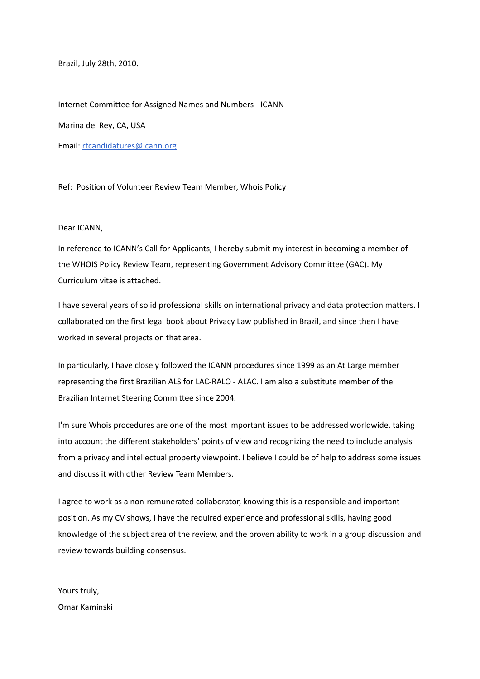Brazil, July 28th, 2010.

Internet Committee for Assigned Names and Numbers - ICANN Marina del Rey, CA, USA Email: [rtcandidatures@icann.org](mailto:rtcandidatures@icann.org)

Ref: Position of Volunteer Review Team Member, Whois Policy

### Dear ICANN,

In reference to ICANN's Call for Applicants, I hereby submit my interest in becoming a member of the WHOIS Policy Review Team, representing Government Advisory Committee (GAC). My Curriculum vitae is attached.

I have several years of solid professional skills on international privacy and data protection matters. I collaborated on the first legal book about Privacy Law published in Brazil, and since then I have worked in several projects on that area.

In particularly, I have closely followed the ICANN procedures since 1999 as an At Large member representing the first Brazilian ALS for LAC-RALO - ALAC. I am also a substitute member of the Brazilian Internet Steering Committee since 2004.

I'm sure Whois procedures are one of the most important issues to be addressed worldwide, taking into account the different stakeholders' points of view and recognizing the need to include analysis from a privacy and intellectual property viewpoint. I believe I could be of help to address some issues and discuss it with other Review Team Members.

I agree to work as a non-remunerated collaborator, knowing this is a responsible and important position. As my CV shows, I have the required experience and professional skills, having good knowledge of the subject area of the review, and the proven ability to work in a group discussion and review towards building consensus.

Yours truly, Omar Kaminski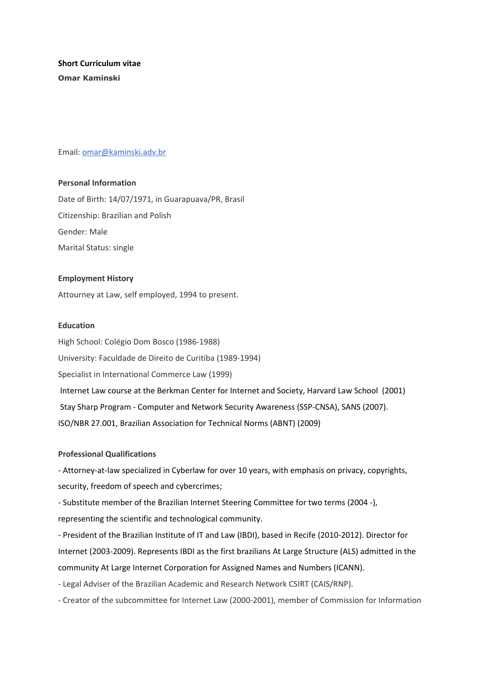**Short Curriculum vitae Omar Kaminski**

## Email: [omar@kaminski.adv.br](mailto:omar@kaminski.adv.br)

## **Personal Information**

Date of Birth: 14/07/1971, in Guarapuava/PR, Brasil Citizenship: Brazilian and Polish Gender: Male Marital Status: single

# **Employment History**

Attourney at Law, self employed, 1994 to present.

### **Education**

High School: Colégio Dom Bosco (1986-1988) University: Faculdade de Direito de Curitiba (1989-1994) Specialist in International Commerce Law (1999) Internet Law course at the Berkman Center for Internet and Society, Harvard Law School (2001) Stay Sharp Program - Computer and Network Security Awareness (SSP-CNSA), SANS (2007). ISO/NBR 27.001, Brazilian Association for Technical Norms (ABNT) (2009)

# **Professional Qualifications**

- Attorney-at-law specialized in Cyberlaw for over 10 years, with emphasis on privacy, copyrights, security, freedom of speech and cybercrimes;

- Substitute member of the Brazilian Internet Steering Committee for two terms (2004 -), representing the scientific and technological community.

- President of the Brazilian Institute of IT and Law (IBDI), based in Recife (2010-2012). Director for Internet (2003-2009). Represents IBDI as the first brazilians At Large Structure (ALS) admitted in the community At Large Internet Corporation for Assigned Names and Numbers (ICANN).

- Legal Adviser of the Brazilian Academic and Research Network CSIRT (CAIS/RNP).

- Creator of the subcommittee for Internet Law (2000-2001), member of Commission for Information